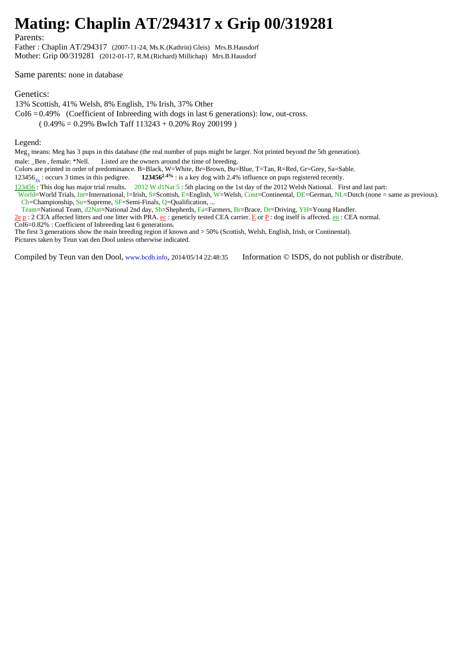## **Mating: Chaplin AT/294317 x Grip 00/319281**

Parents:

Father : Chaplin AT/294317 (2007-11-24, Ms.K.(Kathrin) Gleis) Mrs.B.Hausdorf Mother: Grip 00/319281 (2012-01-17, R.M.(Richard) Millichap) Mrs.B.Hausdorf

Same parents: none in database

## Genetics:

13% Scottish, 41% Welsh, 8% English, 1% Irish, 37% Other  $CoI6 = 0.49\%$  (Coefficient of Inbreeding with dogs in last 6 generations): low, out-cross.  $(0.49\% = 0.29\%$  Bwlch Taff  $113243 + 0.20\%$  Roy 200199)

Legend:

Meg<sub>3</sub> means: Meg has 3 pups in this database (the real number of pups might be larger. Not printed beyond the 5th generation).

male: Ben , female: \*Nell. Listed are the owners around the time of breeding.

Colors are printed in order of predominance. B=Black, W=White, Br=Brown, Bu=Blue, T=Tan, R=Red, Gr=Grey, Sa=Sable.

123456<sub>3x</sub>: occurs 3 times in this pedigree. **123456<sup>2.4%</sup>** : is a key dog with 2.4% influence on pups registered recently.

123456 : This dog has major trial results. 2012 W.d1Nat 5 : 5th placing on the 1st day of the 2012 Welsh National. First and last part:

World=World Trials, Int=International, I=Irish, S=Scottish, E=English, W=Welsh, Cont=Continental, DE=German, NL=Dutch (none = same as previous). Ch=Championship, Su=Supreme, SF=Semi-Finals, Q=Qualification, ...

Team=National Team, d2Nat=National 2nd day, Sh=Shepherds, Fa=Farmers, Br=Brace, Dr=Driving, YH=Young Handler.

 $\underline{2e}$  p : 2 CEA affected litters and one litter with PRA.  $\underline{e}$ : geneticly tested CEA carrier.  $\underline{E}$  or  $\underline{P}$  : dog itself is affected.  $\underline{e}$  : CEA normal.

CoI6=0.82% : Coefficient of Inbreeding last 6 generations.

The first 3 generations show the main breeding region if known and > 50% (Scottish, Welsh, English, Irish, or Continental). Pictures taken by Teun van den Dool unless otherwise indicated.

Compiled by Teun van den Dool, www.bcdb.info, 2014/05/14 22:48:35 Information © ISDS, do not publish or distribute.